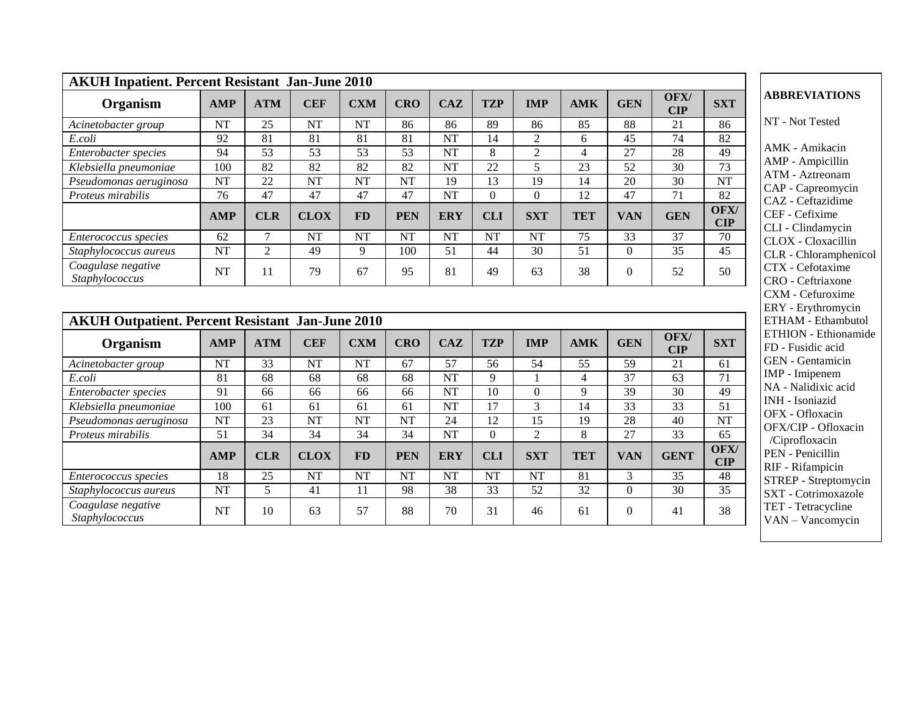| <b>AKUH Inpatient. Percent Resistant Jan-June 2010</b>  |                 |                 |                        |                        |                 |                        |                 |                 |                 |                 |                 |                        |                                               |
|---------------------------------------------------------|-----------------|-----------------|------------------------|------------------------|-----------------|------------------------|-----------------|-----------------|-----------------|-----------------|-----------------|------------------------|-----------------------------------------------|
| Organism                                                | <b>AMP</b>      | <b>ATM</b>      | <b>CEF</b>             | <b>CXM</b>             | <b>CRO</b>      | <b>CAZ</b>             | <b>TZP</b>      | <b>IMP</b>      | <b>AMK</b>      | <b>GEN</b>      | OFX/<br>CIP     | <b>SXT</b>             | <b>ABBREVIATIONS</b>                          |
| Acinetobacter group                                     | <b>NT</b>       | 25              | <b>NT</b>              | <b>NT</b>              | 86              | 86                     | 89              | 86              | 85              | 88              | 21              | 86                     | NT - Not Tested                               |
| E.coli                                                  | $\overline{92}$ | $\overline{81}$ | $\overline{81}$        | $\overline{81}$        | 81              | $\overline{\text{NT}}$ | 14              | $\overline{2}$  | 6               | $\overline{45}$ | 74              | $\overline{82}$        |                                               |
| Enterobacter species                                    | 94              | 53              | 53                     | 53                     | 53              | <b>NT</b>              | 8               | $\overline{2}$  | $\overline{4}$  | 27              | 28              | 49                     | AMK - Amikacin                                |
| Klebsiella pneumoniae                                   | 100             | 82              | $\overline{82}$        | 82                     | $\overline{82}$ | <b>NT</b>              | $\overline{22}$ | 5               | 23              | 52              | 30              | $\overline{73}$        | AMP - Ampicillin                              |
| Pseudomonas aeruginosa                                  | <b>NT</b>       | 22              | <b>NT</b>              | <b>NT</b>              | <b>NT</b>       | 19                     | 13              | 19              | 14              | 20              | $\overline{30}$ | $\overline{\text{NT}}$ | ATM - Aztreonam<br>CAP - Capreomycin          |
| Proteus mirabilis                                       | 76              | 47              | 47                     | 47                     | 47              | <b>NT</b>              | $\mathbf{0}$    | $\mathbf{0}$    | 12              | 47              | $\overline{71}$ | 82                     | CAZ - Ceftazidime                             |
|                                                         | <b>AMP</b>      | <b>CLR</b>      | <b>CLOX</b>            | <b>FD</b>              | <b>PEN</b>      | <b>ERY</b>             | <b>CLI</b>      | <b>SXT</b>      | <b>TET</b>      | <b>VAN</b>      | <b>GEN</b>      | OFX/<br><b>CIP</b>     | CEF - Cefixime<br>CLI - Clindamycin           |
| <i>Enterococcus species</i>                             | 62              | 7               | <b>NT</b>              | <b>NT</b>              | <b>NT</b>       | <b>NT</b>              | <b>NT</b>       | <b>NT</b>       | 75              | 33              | 37              | 70                     | CLOX - Cloxacillin                            |
| Staphylococcus aureus                                   | <b>NT</b>       | $\overline{2}$  | 49                     | 9                      | 100             | 51                     | 44              | 30              | 51              | $\overline{0}$  | 35              | 45                     | CLR - Chloramphenio                           |
| Coagulase negative<br>Staphylococcus                    | <b>NT</b>       | 11              | 79                     | 67                     | 95              | 81                     | 49              | 63              | 38              | $\Omega$        | 52              | 50                     | CTX - Cefotaxime<br>CRO - Ceftriaxone         |
| <b>AKUH Outpatient. Percent Resistant Jan-June 2010</b> |                 |                 |                        |                        |                 |                        |                 |                 |                 |                 |                 |                        | <b>ETHAM - Ethambuto</b>                      |
| Organism                                                | <b>AMP</b>      | <b>ATM</b>      | <b>CEF</b>             | <b>CXM</b>             | <b>CRO</b>      | <b>CAZ</b>             | <b>TZP</b>      | <b>IMP</b>      | <b>AMK</b>      | <b>GEN</b>      | OFX/<br>CIP     | <b>SXT</b>             | ETHION - Ethionami<br>FD - Fusidic acid       |
| Acinetobacter group                                     | NT              | 33              | <b>NT</b>              | <b>NT</b>              | 67              | 57                     | 56              | 54              | 55              | 59              | 21              | 61                     | GEN - Gentamicin                              |
| E.coli                                                  | 81              | 68              | 68                     | 68                     | 68              | <b>NT</b>              | 9               | $\mathbf{1}$    | $\overline{4}$  | 37              | 63              | 71                     | IMP - Imipenem                                |
| Enterobacter species                                    | 91              | 66              | 66                     | 66                     | 66              | <b>NT</b>              | 10              | $\mathbf{0}$    | 9               | 39              | 30              | 49                     | NA - Nalidixic acid<br><b>INH</b> - Isoniazid |
| Klebsiella pneumoniae                                   | 100             | 61              | 61                     | 61                     | 61              | <b>NT</b>              | 17              | 3               | 14              | $\overline{33}$ | 33              | $\overline{51}$        | OFX - Ofloxacin                               |
| Pseudomonas aeruginosa                                  | <b>NT</b>       | 23              | $\overline{\text{NT}}$ | $\overline{\text{NT}}$ | <b>NT</b>       | $\overline{24}$        | 12              | $\overline{15}$ | 19              | $\overline{28}$ | $\overline{40}$ | $\overline{\text{NT}}$ | OFX/CIP - Ofloxacin                           |
| Proteus mirabilis                                       | 51              | 34              | 34                     | 34                     | 34              | <b>NT</b>              | $\mathbf{0}$    | $\overline{2}$  | 8               | 27              | 33              | 65                     | /Ciprofloxacin                                |
|                                                         | <b>AMP</b>      | <b>CLR</b>      | <b>CLOX</b>            | <b>FD</b>              | <b>PEN</b>      | <b>ERY</b>             | <b>CLI</b>      | <b>SXT</b>      | <b>TET</b>      | <b>VAN</b>      | <b>GENT</b>     | OFX/<br><b>CIP</b>     | PEN - Penicillin<br>RIF - Rifampicin          |
| Enterococcus species                                    | 18              | 25              | <b>NT</b>              | <b>NT</b>              | <b>NT</b>       | <b>NT</b>              | <b>NT</b>       | <b>NT</b>       | 81              | $\overline{3}$  | 35              | 48                     | STREP - Streptomyci                           |
| Staphylococcus aureus                                   | <b>NT</b>       | 5               | 41                     | 11                     | 98              | 38                     | 33              | 52              | $\overline{32}$ | $\overline{0}$  | $\overline{30}$ | 35                     | SXT - Cotrimoxazole                           |
| Coagulase negative<br>Staphylococcus                    | <b>NT</b>       | 10              | 63                     | 57                     | 88              | 70                     | 31              | 46              | 61              | $\Omega$        | 41              | 38                     | TET - Tetracycline<br>VAN - Vancomycin        |

 $\mathbf{d}$ cin illin nam mycin dime  $e$ ycin .<br>cillin nphenicol  $\overline{\text{ime}}$ <sub>xone</sub> xime - Erythromycin - Ethambutol ionamide cid nicin  $m$ c acid - Isoniazid  $\sin$ loxacin /Ciprofloxacin  $\operatorname{in}$ RIF - Rifampicin STREP - Streptomycin <sub>oxazole</sub> cline VAN mycin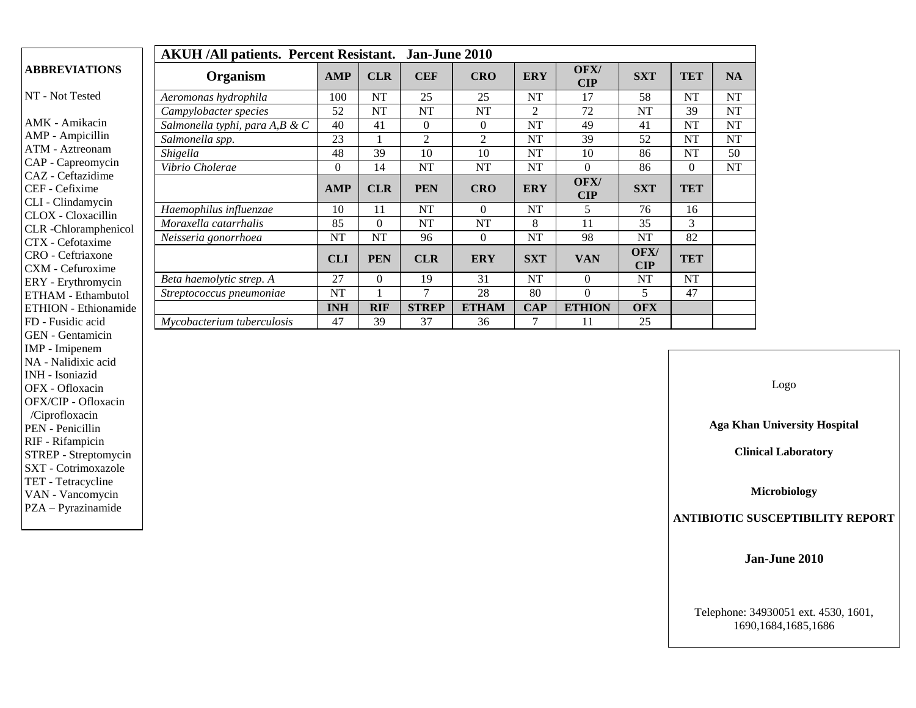|                                                    | <b>AKUH/All patients. Percent Resistant.</b><br>Jan-June 2010 |              |            |                |              |                |                        |                        |            |           |  |  |  |
|----------------------------------------------------|---------------------------------------------------------------|--------------|------------|----------------|--------------|----------------|------------------------|------------------------|------------|-----------|--|--|--|
| <b>ABBREVIATIONS</b>                               | Organism                                                      | <b>AMP</b>   | <b>CLR</b> | <b>CEF</b>     | <b>CRO</b>   | <b>ERY</b>     | OFX/<br>$\mathbf{CIP}$ | <b>SXT</b>             | <b>TET</b> | <b>NA</b> |  |  |  |
| NT - Not Tested                                    | Aeromonas hydrophila                                          | 100          | NT         | 25             | 25           | <b>NT</b>      | 17                     | 58                     | <b>NT</b>  | NT        |  |  |  |
|                                                    | Campylobacter species                                         | 52           | NT         | <b>NT</b>      | NT           | $\overline{c}$ | 72                     | <b>NT</b>              | 39         | NT        |  |  |  |
| AMK - Amikacin                                     | Salmonella typhi, para A,B & C                                | 40           | 41         | 0              | $\Omega$     | NT             | 49                     | 41                     | <b>NT</b>  | NT        |  |  |  |
| AMP - Ampicillin                                   | Salmonella spp.                                               | 23           |            | $\overline{2}$ | 2            | NT             | 39                     | 52                     | <b>NT</b>  | NT        |  |  |  |
| ATM - Aztreonam                                    | Shigella                                                      | 48           | 39         | 10             | 10           | NT             | 10                     | 86                     | <b>NT</b>  | 50        |  |  |  |
| CAP - Capreomycin                                  | Vibrio Cholerae                                               | $\mathbf{0}$ | 14         | <b>NT</b>      | NT           | <b>NT</b>      | $\Omega$               | 86                     | $\Omega$   | NT        |  |  |  |
| CAZ - Ceftazidime<br>CEF - Cefixime                |                                                               | <b>AMP</b>   | <b>CLR</b> | <b>PEN</b>     | <b>CRO</b>   | <b>ERY</b>     | OFX/<br>$\mathbf{CIP}$ | <b>SXT</b>             | <b>TET</b> |           |  |  |  |
| CLI - Clindamycin                                  | Haemophilus influenzae                                        | 10           | 11         | <b>NT</b>      | $\Omega$     | NT             | 5                      | 76                     | 16         |           |  |  |  |
| CLOX - Cloxacillin<br><b>CLR</b> - Chloramphenicol | Moraxella catarrhalis                                         | 85           | $\Omega$   | <b>NT</b>      | NT           | 8              | 11                     | 35                     | 3          |           |  |  |  |
| CTX - Cefotaxime                                   | Neisseria gonorrhoea                                          | NT           | NT         | 96             | $\Omega$     | NT             | 98                     | <b>NT</b>              | 82         |           |  |  |  |
| CRO - Ceftriaxone<br>CXM - Cefuroxime              |                                                               | <b>CLI</b>   | <b>PEN</b> | <b>CLR</b>     | <b>ERY</b>   | <b>SXT</b>     | <b>VAN</b>             | OFX/<br>$\mathbf{CIP}$ | <b>TET</b> |           |  |  |  |
| ERY - Erythromycin                                 | Beta haemolytic strep. A                                      | 27           | $\Omega$   | 19             | 31           | NT             | $\Omega$               | <b>NT</b>              | <b>NT</b>  |           |  |  |  |
| <b>ETHAM - Ethambutol</b>                          | Streptococcus pneumoniae                                      | NT           |            | 7              | 28           | 80             | $\Omega$               | 5                      | 47         |           |  |  |  |
| <b>ETHION</b> - Ethionamide                        |                                                               | <b>INH</b>   | <b>RIF</b> | <b>STREP</b>   | <b>ETHAM</b> | <b>CAP</b>     | <b>ETHION</b>          | <b>OFX</b>             |            |           |  |  |  |
| FD - Fusidic acid                                  | Mycobacterium tuberculosis                                    | 47           | 39         | 37             | 36           | 7              | 11                     | 25                     |            |           |  |  |  |
| <b>GEN</b> - Gentamicin                            |                                                               |              |            |                |              |                |                        |                        |            |           |  |  |  |

IMP - Imipenem NA - Nalidixic acid INH - Isoniazid OFX - Ofloxacin OFX/CIP - Ofloxacin /Ciprofloxacin PEN - Penicillin RIF - Rifampicin STREP - Streptomycin SXT - Cotrimoxazole TET - Tetracycline VAN - Vancomycin PZA – Pyrazinamide

Logo

**Aga Khan University Hospital**

**Clinical Laboratory**

**Microbiology**

**ANTIBIOTIC SUSCEPTIBILITY REPORT**

**Jan-June 2010**

Telephone: 34930051 ext. 4530, 1601, 1690,1684,1685,1686